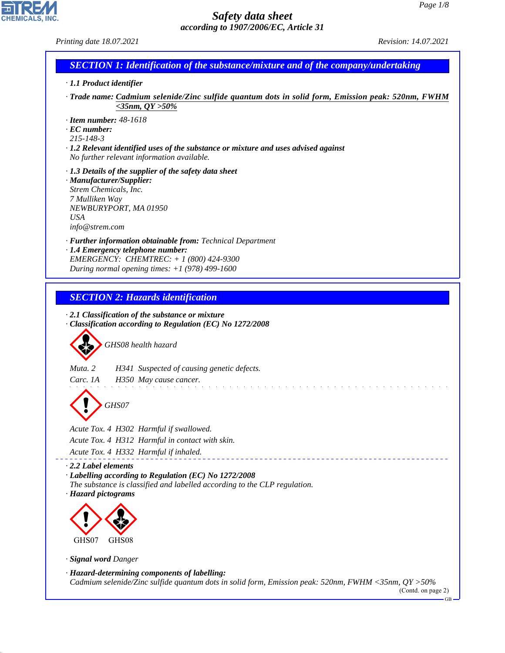| Printing date 18.07.2021                                                                                                                             | Revision: 14.07.2021          |
|------------------------------------------------------------------------------------------------------------------------------------------------------|-------------------------------|
| <b>SECTION 1: Identification of the substance/mixture and of the company/undertaking</b>                                                             |                               |
| · 1.1 Product identifier                                                                                                                             |                               |
| Trade name: Cadmium selenide/Zinc sulfide quantum dots in solid form, Emission peak: 520nm, FWHM<br>$<$ 35nm, QY >50%                                |                               |
| $\cdot$ Item number: 48-1618                                                                                                                         |                               |
| $\cdot$ EC number:<br>$215 - 148 - 3$                                                                                                                |                               |
| · 1.2 Relevant identified uses of the substance or mixture and uses advised against<br>No further relevant information available.                    |                               |
| $\cdot$ 1.3 Details of the supplier of the safety data sheet                                                                                         |                               |
| · Manufacturer/Supplier:<br>Strem Chemicals, Inc.                                                                                                    |                               |
| 7 Mulliken Way                                                                                                                                       |                               |
| NEWBURYPORT, MA 01950<br><b>USA</b>                                                                                                                  |                               |
| info@stream.com                                                                                                                                      |                               |
| · Further information obtainable from: Technical Department<br>· 1.4 Emergency telephone number:                                                     |                               |
| EMERGENCY: CHEMTREC: + 1 (800) 424-9300                                                                                                              |                               |
| During normal opening times: $+1$ (978) 499-1600                                                                                                     |                               |
|                                                                                                                                                      |                               |
| <b>SECTION 2: Hazards identification</b>                                                                                                             |                               |
| $\cdot$ 2.1 Classification of the substance or mixture                                                                                               |                               |
| Classification according to Regulation (EC) No 1272/2008                                                                                             |                               |
| GHS08 health hazard                                                                                                                                  |                               |
| Muta <sub>2</sub><br>H341 Suspected of causing genetic defects.                                                                                      |                               |
| Carc. 1A<br>H350 May cause cancer.                                                                                                                   |                               |
|                                                                                                                                                      |                               |
| GHS07                                                                                                                                                |                               |
| Acute Tox. 4 H302 Harmful if swallowed.                                                                                                              |                               |
| Acute Tox. 4 H312 Harmful in contact with skin.                                                                                                      |                               |
| Acute Tox. 4 H332 Harmful if inhaled.                                                                                                                |                               |
| 2.2 Label elements                                                                                                                                   |                               |
| · Labelling according to Regulation (EC) No 1272/2008<br>The substance is classified and labelled according to the CLP regulation.                   |                               |
| · Hazard pictograms                                                                                                                                  |                               |
|                                                                                                                                                      |                               |
|                                                                                                                                                      |                               |
| GHS07<br>GHS08                                                                                                                                       |                               |
| · Signal word Danger                                                                                                                                 |                               |
| · Hazard-determining components of labelling:<br>Cadmium selenide/Zinc sulfide quantum dots in solid form, Emission peak: 520nm, FWHM <35nm, QY >50% |                               |
|                                                                                                                                                      | (Contd. on page 2)<br>$-GB -$ |

44.1.1

CHEMICALS, INC.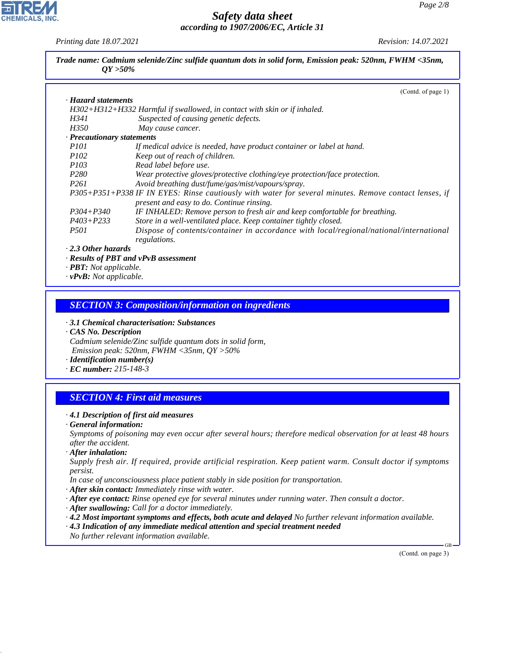*Printing date 18.07.2021 Revision: 14.07.2021*

**CHEMICALS.** 

| Trade name: Cadmium selenide/Zinc sulfide quantum dots in solid form, Emission peak: 520nm, FWHM <35nm,<br>$QY > 50\%$ |                                                                                                       |  |  |  |
|------------------------------------------------------------------------------------------------------------------------|-------------------------------------------------------------------------------------------------------|--|--|--|
|                                                                                                                        | (Contd. of page 1)                                                                                    |  |  |  |
| · Hazard statements                                                                                                    |                                                                                                       |  |  |  |
|                                                                                                                        | H302+H312+H332 Harmful if swallowed, in contact with skin or if inhaled.                              |  |  |  |
| H341                                                                                                                   | Suspected of causing genetic defects.                                                                 |  |  |  |
| <i>H350</i>                                                                                                            | May cause cancer.                                                                                     |  |  |  |
| · Precautionary statements                                                                                             |                                                                                                       |  |  |  |
| <i>P101</i>                                                                                                            | If medical advice is needed, have product container or label at hand.                                 |  |  |  |
| <i>P102</i>                                                                                                            | Keep out of reach of children.                                                                        |  |  |  |
| <i>P103</i>                                                                                                            | Read label before use.                                                                                |  |  |  |
| P <sub>280</sub>                                                                                                       | Wear protective gloves/protective clothing/eye protection/face protection.                            |  |  |  |
| P261                                                                                                                   | Avoid breathing dust/fume/gas/mist/vapours/spray.                                                     |  |  |  |
|                                                                                                                        | P305+P351+P338 IF IN EYES: Rinse cautiously with water for several minutes. Remove contact lenses, if |  |  |  |
|                                                                                                                        | present and easy to do. Continue rinsing.                                                             |  |  |  |
| $P304 + P340$                                                                                                          | IF INHALED: Remove person to fresh air and keep comfortable for breathing.                            |  |  |  |
| $P403 + P233$                                                                                                          | Store in a well-ventilated place. Keep container tightly closed.                                      |  |  |  |
| <i>P501</i>                                                                                                            | Dispose of contents/container in accordance with local/regional/national/international                |  |  |  |
|                                                                                                                        | regulations.                                                                                          |  |  |  |
| $\cdot$ 2.3 Other hazards                                                                                              |                                                                                                       |  |  |  |
|                                                                                                                        | · Results of PBT and vPvB assessment                                                                  |  |  |  |
| · PBT: Not applicable.                                                                                                 |                                                                                                       |  |  |  |
| $\mathbf{a} \cdot \mathbf{D} \cdot \mathbf{D} \cdot \mathbf{A}$                                                        |                                                                                                       |  |  |  |

*· vPvB: Not applicable.*

#### *SECTION 3: Composition/information on ingredients*

*· 3.1 Chemical characterisation: Substances*

*· CAS No. Description Cadmium selenide/Zinc sulfide quantum dots in solid form, Emission peak: 520nm, FWHM <35nm, QY >50%*

*· Identification number(s)*

*· EC number: 215-148-3*

## *SECTION 4: First aid measures*

#### *· 4.1 Description of first aid measures*

*· General information:*

*Symptoms of poisoning may even occur after several hours; therefore medical observation for at least 48 hours after the accident.*

*· After inhalation:*

44.1.1

*Supply fresh air. If required, provide artificial respiration. Keep patient warm. Consult doctor if symptoms persist.*

*In case of unconsciousness place patient stably in side position for transportation.*

- *· After skin contact: Immediately rinse with water.*
- *· After eye contact: Rinse opened eye for several minutes under running water. Then consult a doctor.*
- *· After swallowing: Call for a doctor immediately.*
- *· 4.2 Most important symptoms and effects, both acute and delayed No further relevant information available.*
- *· 4.3 Indication of any immediate medical attention and special treatment needed*
- *No further relevant information available.*

(Contd. on page 3)

GB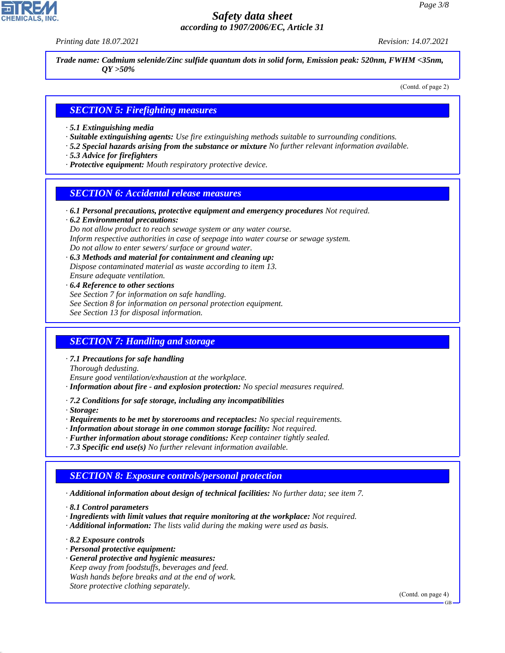*Printing date 18.07.2021 Revision: 14.07.2021*

*Trade name: Cadmium selenide/Zinc sulfide quantum dots in solid form, Emission peak: 520nm, FWHM <35nm, QY >50%*

(Contd. of page 2)

## *SECTION 5: Firefighting measures*

- *· 5.1 Extinguishing media*
- *· Suitable extinguishing agents: Use fire extinguishing methods suitable to surrounding conditions.*
- *· 5.2 Special hazards arising from the substance or mixture No further relevant information available.*
- *· 5.3 Advice for firefighters*
- *· Protective equipment: Mouth respiratory protective device.*

#### *SECTION 6: Accidental release measures*

*· 6.1 Personal precautions, protective equipment and emergency procedures Not required.*

*· 6.2 Environmental precautions: Do not allow product to reach sewage system or any water course. Inform respective authorities in case of seepage into water course or sewage system. Do not allow to enter sewers/ surface or ground water.*

- *· 6.3 Methods and material for containment and cleaning up: Dispose contaminated material as waste according to item 13. Ensure adequate ventilation.*
- *· 6.4 Reference to other sections See Section 7 for information on safe handling. See Section 8 for information on personal protection equipment. See Section 13 for disposal information.*

## *SECTION 7: Handling and storage*

*· 7.1 Precautions for safe handling*

*Thorough dedusting.*

*Ensure good ventilation/exhaustion at the workplace.*

- *· Information about fire and explosion protection: No special measures required.*
- *· 7.2 Conditions for safe storage, including any incompatibilities*

*· Storage:*

- *· Requirements to be met by storerooms and receptacles: No special requirements.*
- *· Information about storage in one common storage facility: Not required.*
- *· Further information about storage conditions: Keep container tightly sealed.*
- *· 7.3 Specific end use(s) No further relevant information available.*

## *SECTION 8: Exposure controls/personal protection*

*· Additional information about design of technical facilities: No further data; see item 7.*

*· 8.1 Control parameters*

- *· Ingredients with limit values that require monitoring at the workplace: Not required.*
- *· Additional information: The lists valid during the making were used as basis.*

*· 8.2 Exposure controls*

44.1.1

- *· Personal protective equipment:*
- *· General protective and hygienic measures: Keep away from foodstuffs, beverages and feed. Wash hands before breaks and at the end of work. Store protective clothing separately.*

(Contd. on page 4)

GB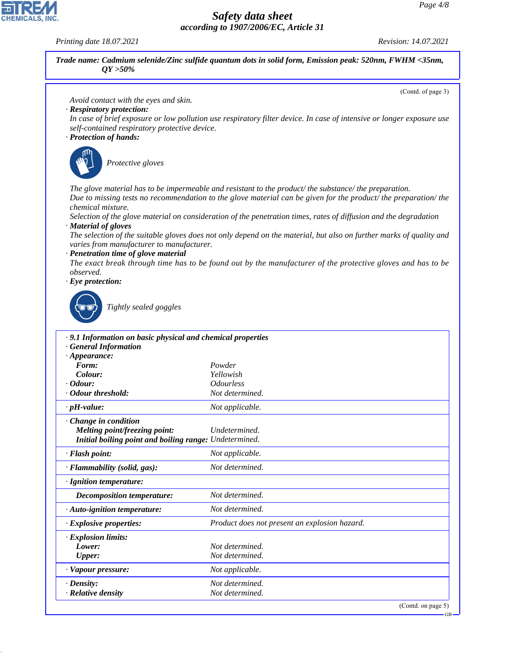*Printing date 18.07.2021 Revision: 14.07.2021*

44.1.1

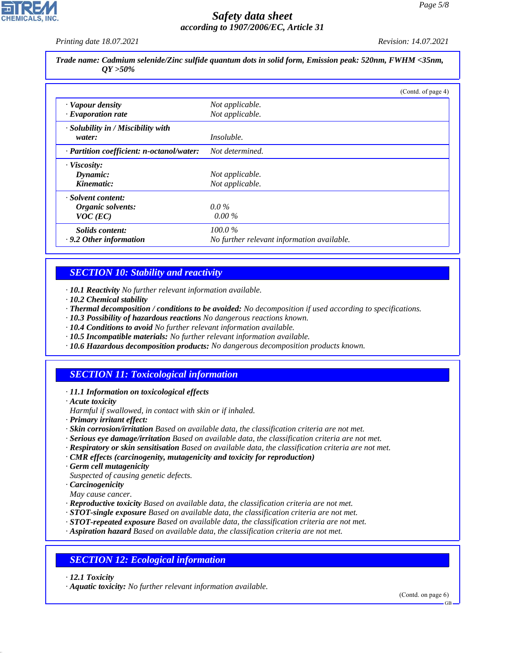*Printing date 18.07.2021 Revision: 14.07.2021*

*Trade name: Cadmium selenide/Zinc sulfide quantum dots in solid form, Emission peak: 520nm, FWHM <35nm, QY >50%*

|                                           |                                            | (Contd. of page 4) |
|-------------------------------------------|--------------------------------------------|--------------------|
| · Vapour density                          | Not applicable.                            |                    |
| $\cdot$ Evaporation rate                  | Not applicable.                            |                    |
| · Solubility in / Miscibility with        |                                            |                    |
| water:                                    | <i>Insoluble.</i>                          |                    |
| · Partition coefficient: n-octanol/water: | Not determined.                            |                    |
| · Viscosity:                              |                                            |                    |
| Dynamic:                                  | Not applicable.                            |                    |
| Kinematic:                                | Not applicable.                            |                    |
| Solvent content:                          |                                            |                    |
| Organic solvents:                         | $0.0\%$                                    |                    |
| $VOC$ (EC)                                | $0.00\%$                                   |                    |
| Solids content:                           | $100.0\%$                                  |                    |
| $\cdot$ 9.2 Other information             | No further relevant information available. |                    |

## *SECTION 10: Stability and reactivity*

*· 10.1 Reactivity No further relevant information available.*

- *· 10.2 Chemical stability*
- *· Thermal decomposition / conditions to be avoided: No decomposition if used according to specifications.*
- *· 10.3 Possibility of hazardous reactions No dangerous reactions known.*
- *· 10.4 Conditions to avoid No further relevant information available.*
- *· 10.5 Incompatible materials: No further relevant information available.*
- *· 10.6 Hazardous decomposition products: No dangerous decomposition products known.*

## *SECTION 11: Toxicological information*

- *· 11.1 Information on toxicological effects*
- *· Acute toxicity*
- *Harmful if swallowed, in contact with skin or if inhaled.*
- *· Primary irritant effect:*
- *· Skin corrosion/irritation Based on available data, the classification criteria are not met.*
- *· Serious eye damage/irritation Based on available data, the classification criteria are not met.*
- *· Respiratory or skin sensitisation Based on available data, the classification criteria are not met.*
- *· CMR effects (carcinogenity, mutagenicity and toxicity for reproduction)*
- *· Germ cell mutagenicity*
- *Suspected of causing genetic defects.*
- *· Carcinogenicity*
- *May cause cancer.*
- *· Reproductive toxicity Based on available data, the classification criteria are not met.*
- *· STOT-single exposure Based on available data, the classification criteria are not met.*
- *· STOT-repeated exposure Based on available data, the classification criteria are not met.*
- *· Aspiration hazard Based on available data, the classification criteria are not met.*

## *SECTION 12: Ecological information*

*· 12.1 Toxicity*

44.1.1

*· Aquatic toxicity: No further relevant information available.*

(Contd. on page 6)

GB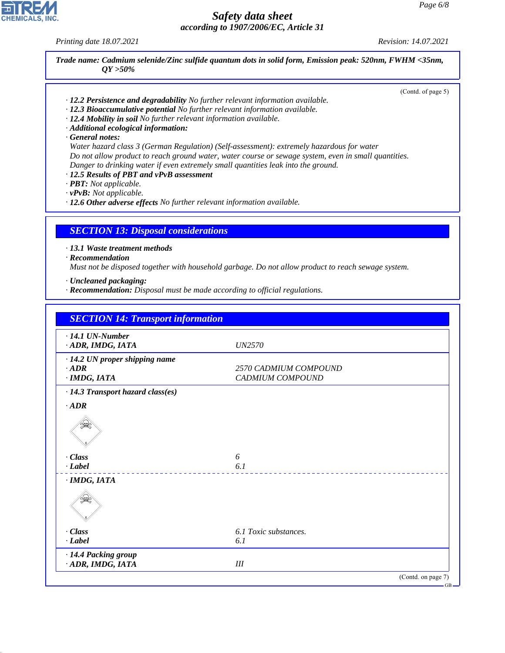*Printing date 18.07.2021 Revision: 14.07.2021*

*Trade name: Cadmium selenide/Zinc sulfide quantum dots in solid form, Emission peak: 520nm, FWHM <35nm, QY >50%* (Contd. of page 5)

- *· 12.2 Persistence and degradability No further relevant information available.*
- *· 12.3 Bioaccumulative potential No further relevant information available.*
- *· 12.4 Mobility in soil No further relevant information available.*
- *· Additional ecological information:*
- *· General notes:*

*Water hazard class 3 (German Regulation) (Self-assessment): extremely hazardous for water Do not allow product to reach ground water, water course or sewage system, even in small quantities. Danger to drinking water if even extremely small quantities leak into the ground.*

- *· 12.5 Results of PBT and vPvB assessment*
- *· PBT: Not applicable.*

*· vPvB: Not applicable.*

*· 12.6 Other adverse effects No further relevant information available.*

#### *SECTION 13: Disposal considerations*

*· 13.1 Waste treatment methods*

*· Recommendation*

*Must not be disposed together with household garbage. Do not allow product to reach sewage system.*

- *· Uncleaned packaging:*
- *· Recommendation: Disposal must be made according to official regulations.*

| <b>SECTION 14: Transport information</b>                      |                                           |  |
|---------------------------------------------------------------|-------------------------------------------|--|
| $\cdot$ 14.1 UN-Number<br>· ADR, IMDG, IATA                   | <i>UN2570</i>                             |  |
| · 14.2 UN proper shipping name<br>$\cdot$ ADR<br>· IMDG, IATA | 2570 CADMIUM COMPOUND<br>CADMIUM COMPOUND |  |
| · 14.3 Transport hazard class(es)                             |                                           |  |
| $·$ ADR                                                       |                                           |  |
|                                                               |                                           |  |
| $\cdot$ Class                                                 | 6                                         |  |
| $\cdot$ <i>Label</i>                                          | 6.1                                       |  |
| $·$ <i>IMDG, IATA</i>                                         |                                           |  |
|                                                               |                                           |  |
| $\cdot$ Class                                                 | 6.1 Toxic substances.                     |  |
| $\cdot$ <i>Label</i>                                          | 6.1                                       |  |
| · 14.4 Packing group<br>· ADR, IMDG, IATA                     | III                                       |  |
|                                                               | (Contd. on page 7)                        |  |



44.1.1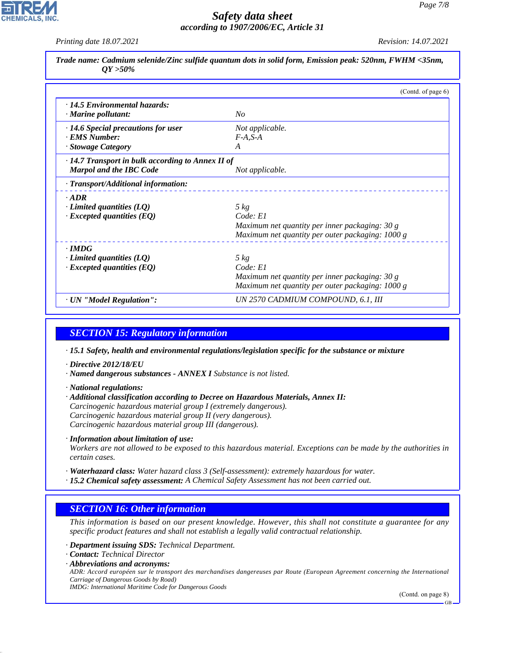*Printing date 18.07.2021 Revision: 14.07.2021*

| $OY > 50\%$                                             | Trade name: Cadmium selenide/Zinc sulfide quantum dots in solid form, Emission peak: 520nm, FWHM <35nm, |
|---------------------------------------------------------|---------------------------------------------------------------------------------------------------------|
|                                                         | (Contd. of page 6)                                                                                      |
| · 14.5 Environmental hazards:                           |                                                                                                         |
| $\cdot$ Marine pollutant:                               | No                                                                                                      |
| $\cdot$ 14.6 Special precautions for user               | Not applicable.                                                                                         |
| · EMS Number:                                           | $F-A, S-A$                                                                                              |
| · Stowage Category                                      | $\overline{A}$                                                                                          |
| $\cdot$ 14.7 Transport in bulk according to Annex II of |                                                                                                         |
| <b>Marpol and the IBC Code</b>                          | Not applicable.                                                                                         |
| · Transport/Additional information:                     |                                                                                                         |
| $.$ ADR                                                 |                                                                                                         |
| $\cdot$ Limited quantities (LQ)                         | $5 \ kg$                                                                                                |
| $\cdot$ Excepted quantities (EQ)                        | Code: El                                                                                                |
|                                                         | Maximum net quantity per inner packaging: 30 g                                                          |
|                                                         | Maximum net quantity per outer packaging: 1000 g                                                        |
| $\cdot$ IMDG                                            |                                                                                                         |
| $\cdot$ Limited quantities (LQ)                         | $5 \ kg$                                                                                                |
| $\cdot$ Excepted quantities (EQ)                        | Code: El                                                                                                |
|                                                         | Maximum net quantity per inner packaging: 30 g                                                          |
|                                                         | Maximum net quantity per outer packaging: 1000 g                                                        |
| · UN "Model Regulation":                                | UN 2570 CADMIUM COMPOUND, 6.1, III                                                                      |

## *SECTION 15: Regulatory information*

*· 15.1 Safety, health and environmental regulations/legislation specific for the substance or mixture*

- *· Directive 2012/18/EU*
- *· Named dangerous substances ANNEX I Substance is not listed.*
- *· National regulations:*
- *· Additional classification according to Decree on Hazardous Materials, Annex II: Carcinogenic hazardous material group I (extremely dangerous). Carcinogenic hazardous material group II (very dangerous). Carcinogenic hazardous material group III (dangerous).*
- *· Information about limitation of use:*

*Workers are not allowed to be exposed to this hazardous material. Exceptions can be made by the authorities in certain cases.*

*· Waterhazard class: Water hazard class 3 (Self-assessment): extremely hazardous for water.*

*· 15.2 Chemical safety assessment: A Chemical Safety Assessment has not been carried out.*

#### *SECTION 16: Other information*

*This information is based on our present knowledge. However, this shall not constitute a guarantee for any specific product features and shall not establish a legally valid contractual relationship.*

*· Department issuing SDS: Technical Department.*

- *· Contact: Technical Director*
- *· Abbreviations and acronyms:*

44.1.1

*ADR: Accord européen sur le transport des marchandises dangereuses par Route (European Agreement concerning the International Carriage of Dangerous Goods by Road)*

*IMDG: International Maritime Code for Dangerous Goods*

(Contd. on page 8)

GB